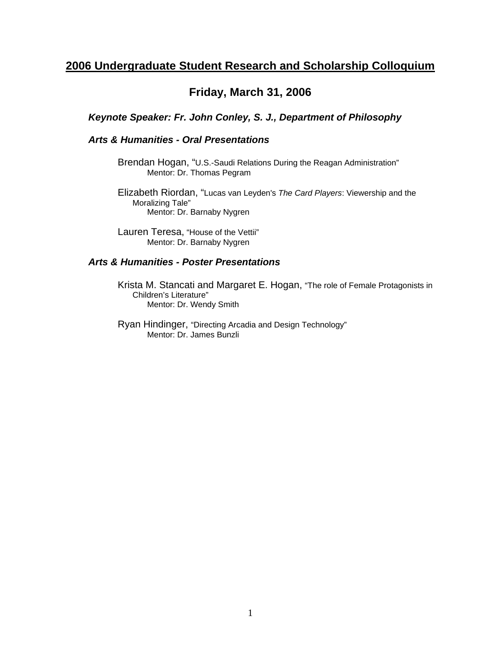# **Friday, March 31, 2006**

*Keynote Speaker: Fr. John Conley, S. J., Department of Philosophy* 

#### *Arts & Humanities - Oral Presentations*

Brendan Hogan, "U.S.-Saudi Relations During the Reagan Administration" Mentor: Dr. Thomas Pegram

Elizabeth Riordan, "Lucas van Leyden's *The Card Players*: Viewership and the Moralizing Tale" Mentor: Dr. Barnaby Nygren

Lauren Teresa, "House of the Vettii" Mentor: Dr. Barnaby Nygren

#### *Arts & Humanities - Poster Presentations*

Krista M. Stancati and Margaret E. Hogan, "The role of Female Protagonists in Children's Literature" Mentor: Dr. Wendy Smith

Ryan Hindinger, "Directing Arcadia and Design Technology" Mentor: Dr. James Bunzli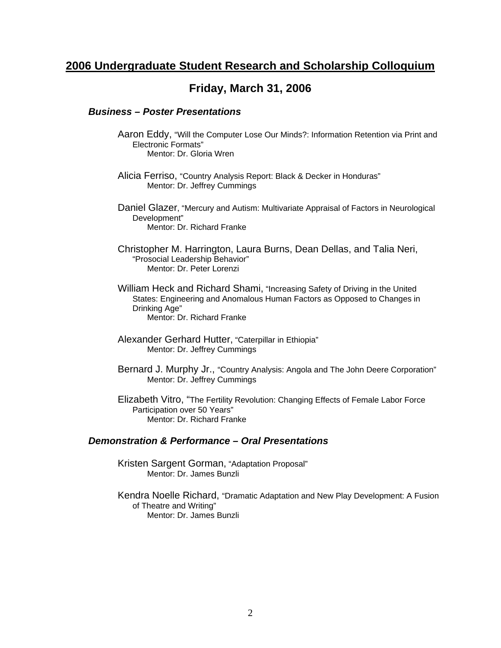# **Friday, March 31, 2006**

#### *Business – Poster Presentations*

- Aaron Eddy, "Will the Computer Lose Our Minds?: Information Retention via Print and Electronic Formats" Mentor: Dr. Gloria Wren
- Alicia Ferriso, "Country Analysis Report: Black & Decker in Honduras" Mentor: Dr. Jeffrey Cummings
- Daniel Glazer, "Mercury and Autism: Multivariate Appraisal of Factors in Neurological Development" Mentor: Dr. Richard Franke
- Christopher M. Harrington, Laura Burns, Dean Dellas, and Talia Neri, "Prosocial Leadership Behavior" Mentor: Dr. Peter Lorenzi
- William Heck and Richard Shami, "Increasing Safety of Driving in the United States: Engineering and Anomalous Human Factors as Opposed to Changes in Drinking Age" Mentor: Dr. Richard Franke
- Alexander Gerhard Hutter, "Caterpillar in Ethiopia" Mentor: Dr. Jeffrey Cummings
- Bernard J. Murphy Jr., "Country Analysis: Angola and The John Deere Corporation" Mentor: Dr. Jeffrey Cummings
- Elizabeth Vitro, "The Fertility Revolution: Changing Effects of Female Labor Force Participation over 50 Years" Mentor: Dr. Richard Franke

#### *Demonstration & Performance – Oral Presentations*

- Kristen Sargent Gorman, "Adaptation Proposal" Mentor: Dr. James Bunzli
- Kendra Noelle Richard, "Dramatic Adaptation and New Play Development: A Fusion of Theatre and Writing" Mentor: Dr. James Bunzli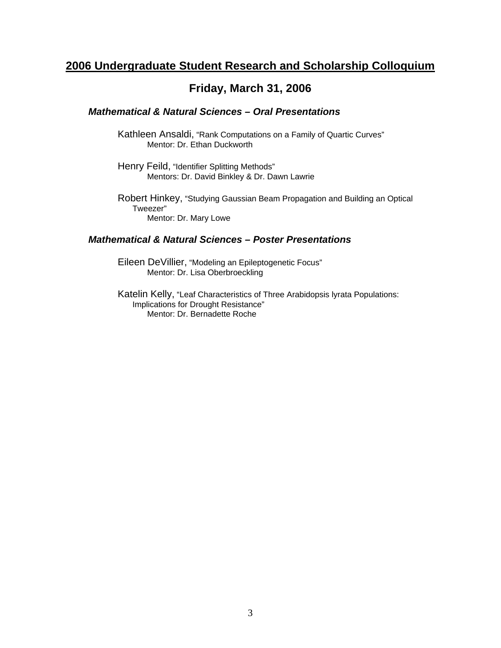### **Friday, March 31, 2006**

#### *Mathematical & Natural Sciences – Oral Presentations*

Kathleen Ansaldi, "Rank Computations on a Family of Quartic Curves" Mentor: Dr. Ethan Duckworth

Henry Feild, "Identifier Splitting Methods" Mentors: Dr. David Binkley & Dr. Dawn Lawrie

Robert Hinkey, "Studying Gaussian Beam Propagation and Building an Optical Tweezer" Mentor: Dr. Mary Lowe

#### *Mathematical & Natural Sciences – Poster Presentations*

Eileen DeVillier, "Modeling an Epileptogenetic Focus" Mentor: Dr. Lisa Oberbroeckling

Katelin Kelly, "Leaf Characteristics of Three Arabidopsis lyrata Populations: Implications for Drought Resistance" Mentor: Dr. Bernadette Roche